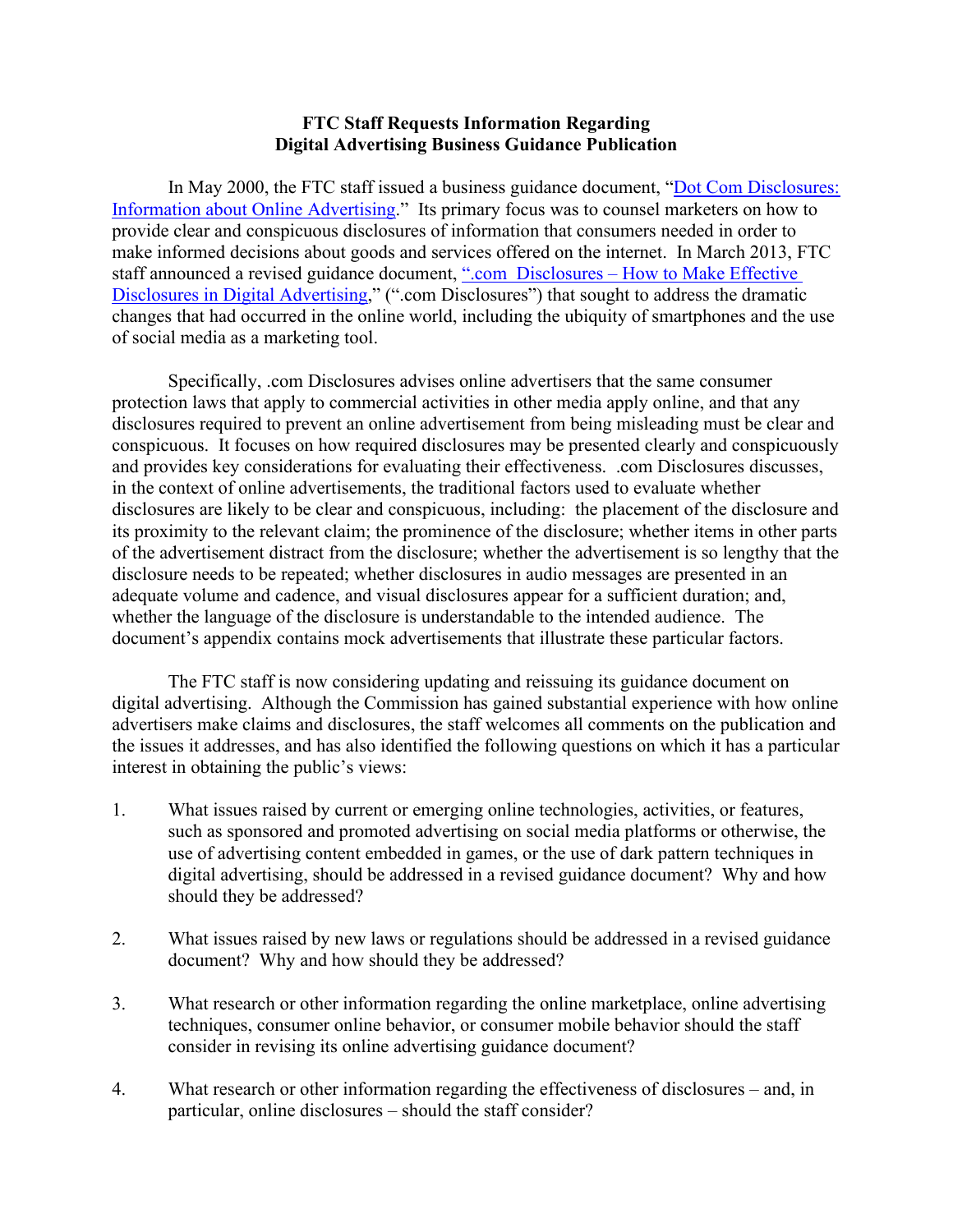## **FTC Staff Requests Information Regarding Digital Advertising Business Guidance Publication**

In May 2000, the FTC staff issued a business guidance document, "Dot Com Disclosures: [Information about Online Advertising.](https://www.ftc.gov/sites/default/files/attachments/press-releases/ftc-staff-issues-guidelines-internet-advertising/0005dotcomstaffreport.pdf)" Its primary focus was to counsel marketers on how to provide clear and conspicuous disclosures of information that consumers needed in order to make informed decisions about goods and services offered on the internet. In March 2013, FTC staff announced a revised guidance document, ".com Disclosures – [How to Make Effective](https://www.ftc.gov/sites/default/files/attachments/press-releases/ftc-staff-revises-online-advertising-disclosure-guidelines/130312dotcomdisclosures.pdf)  [Disclosures in Digital Advertising,](https://www.ftc.gov/sites/default/files/attachments/press-releases/ftc-staff-revises-online-advertising-disclosure-guidelines/130312dotcomdisclosures.pdf)" (".com Disclosures") that sought to address the dramatic changes that had occurred in the online world, including the ubiquity of smartphones and the use of social media as a marketing tool.

Specifically, .com Disclosures advises online advertisers that the same consumer protection laws that apply to commercial activities in other media apply online, and that any disclosures required to prevent an online advertisement from being misleading must be clear and conspicuous. It focuses on how required disclosures may be presented clearly and conspicuously and provides key considerations for evaluating their effectiveness. .com Disclosures discusses, in the context of online advertisements, the traditional factors used to evaluate whether disclosures are likely to be clear and conspicuous, including: the placement of the disclosure and its proximity to the relevant claim; the prominence of the disclosure; whether items in other parts of the advertisement distract from the disclosure; whether the advertisement is so lengthy that the disclosure needs to be repeated; whether disclosures in audio messages are presented in an adequate volume and cadence, and visual disclosures appear for a sufficient duration; and, whether the language of the disclosure is understandable to the intended audience. The document's appendix contains mock advertisements that illustrate these particular factors.

The FTC staff is now considering updating and reissuing its guidance document on digital advertising. Although the Commission has gained substantial experience with how online advertisers make claims and disclosures, the staff welcomes all comments on the publication and the issues it addresses, and has also identified the following questions on which it has a particular interest in obtaining the public's views:

- 1. What issues raised by current or emerging online technologies, activities, or features, such as sponsored and promoted advertising on social media platforms or otherwise, the use of advertising content embedded in games, or the use of dark pattern techniques in digital advertising, should be addressed in a revised guidance document? Why and how should they be addressed?
- 2. What issues raised by new laws or regulations should be addressed in a revised guidance document? Why and how should they be addressed?
- 3. What research or other information regarding the online marketplace, online advertising techniques, consumer online behavior, or consumer mobile behavior should the staff consider in revising its online advertising guidance document?
- 4. What research or other information regarding the effectiveness of disclosures and, in particular, online disclosures – should the staff consider?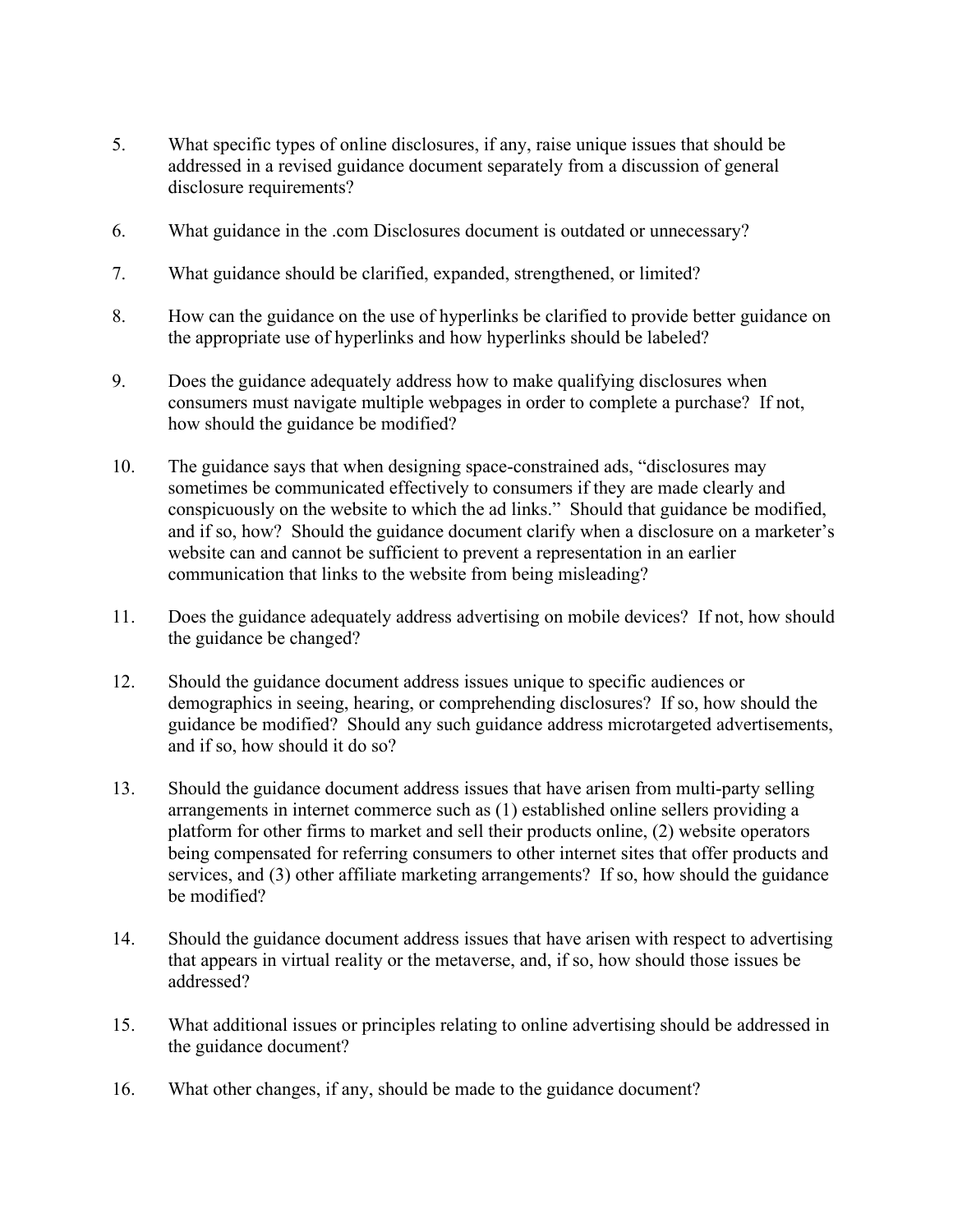- 5. What specific types of online disclosures, if any, raise unique issues that should be addressed in a revised guidance document separately from a discussion of general disclosure requirements?
- 6. What guidance in the .com Disclosures document is outdated or unnecessary?
- 7. What guidance should be clarified, expanded, strengthened, or limited?
- 8. How can the guidance on the use of hyperlinks be clarified to provide better guidance on the appropriate use of hyperlinks and how hyperlinks should be labeled?
- 9. Does the guidance adequately address how to make qualifying disclosures when consumers must navigate multiple webpages in order to complete a purchase? If not, how should the guidance be modified?
- 10. The guidance says that when designing space-constrained ads, "disclosures may sometimes be communicated effectively to consumers if they are made clearly and conspicuously on the website to which the ad links." Should that guidance be modified, and if so, how? Should the guidance document clarify when a disclosure on a marketer's website can and cannot be sufficient to prevent a representation in an earlier communication that links to the website from being misleading?
- 11. Does the guidance adequately address advertising on mobile devices? If not, how should the guidance be changed?
- 12. Should the guidance document address issues unique to specific audiences or demographics in seeing, hearing, or comprehending disclosures? If so, how should the guidance be modified? Should any such guidance address microtargeted advertisements, and if so, how should it do so?
- 13. Should the guidance document address issues that have arisen from multi-party selling arrangements in internet commerce such as (1) established online sellers providing a platform for other firms to market and sell their products online, (2) website operators being compensated for referring consumers to other internet sites that offer products and services, and (3) other affiliate marketing arrangements? If so, how should the guidance be modified?
- 14. Should the guidance document address issues that have arisen with respect to advertising that appears in virtual reality or the metaverse, and, if so, how should those issues be addressed?
- 15. What additional issues or principles relating to online advertising should be addressed in the guidance document?
- 16. What other changes, if any, should be made to the guidance document?